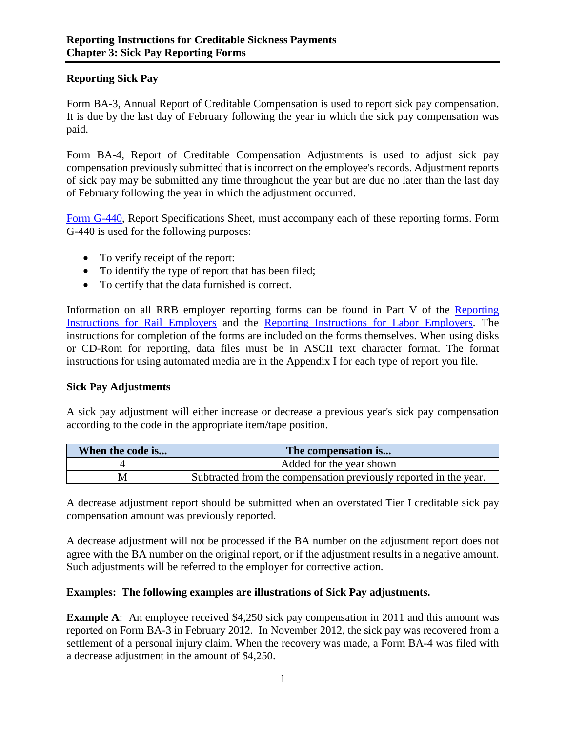## **Reporting Sick Pay**

Form BA-3, Annual Report of Creditable Compensation is used to report sick pay compensation. It is due by the last day of February following the year in which the sick pay compensation was paid.

Form BA-4, Report of Creditable Compensation Adjustments is used to adjust sick pay compensation previously submitted that is incorrect on the employee's records. Adjustment reports of sick pay may be submitted any time throughout the year but are due no later than the last day of February following the year in which the adjustment occurred.

Form G-440, Report Specifications Sheet, must accompany each of these reporting forms. Form G-440 is used for the following purposes:

- To verify receipt of the report:
- To identify the type of report that has been filed;
- To certify that the data furnished is correct.

Information on all RRB employer reporting forms can be found in Part V of the Reporting Instructions for Rail Employers and the Reporting Instructions for Labor Employers. The instructions for completion of the forms are included on the forms themselves. When using disks or CD-Rom for reporting, data files must be in ASCII text character format. The format instructions for using automated media are in the Appendix I for each type of report you file.

## **Sick Pay Adjustments**

A sick pay adjustment will either increase or decrease a previous year's sick pay compensation according to the code in the appropriate item/tape position.

| When the code is | The compensation is                                               |
|------------------|-------------------------------------------------------------------|
|                  | Added for the year shown                                          |
|                  | Subtracted from the compensation previously reported in the year. |

A decrease adjustment report should be submitted when an overstated Tier I creditable sick pay compensation amount was previously reported.

A decrease adjustment will not be processed if the BA number on the adjustment report does not agree with the BA number on the original report, or if the adjustment results in a negative amount. Such adjustments will be referred to the employer for corrective action.

## **Examples: The following examples are illustrations of Sick Pay adjustments.**

**Example A:** An employee received \$4,250 sick pay compensation in 2011 and this amount was reported on Form BA-3 in February 2012. In November 2012, the sick pay was recovered from a settlement of a personal injury claim. When the recovery was made, a Form BA-4 was filed with a decrease adjustment in the amount of \$4,250.